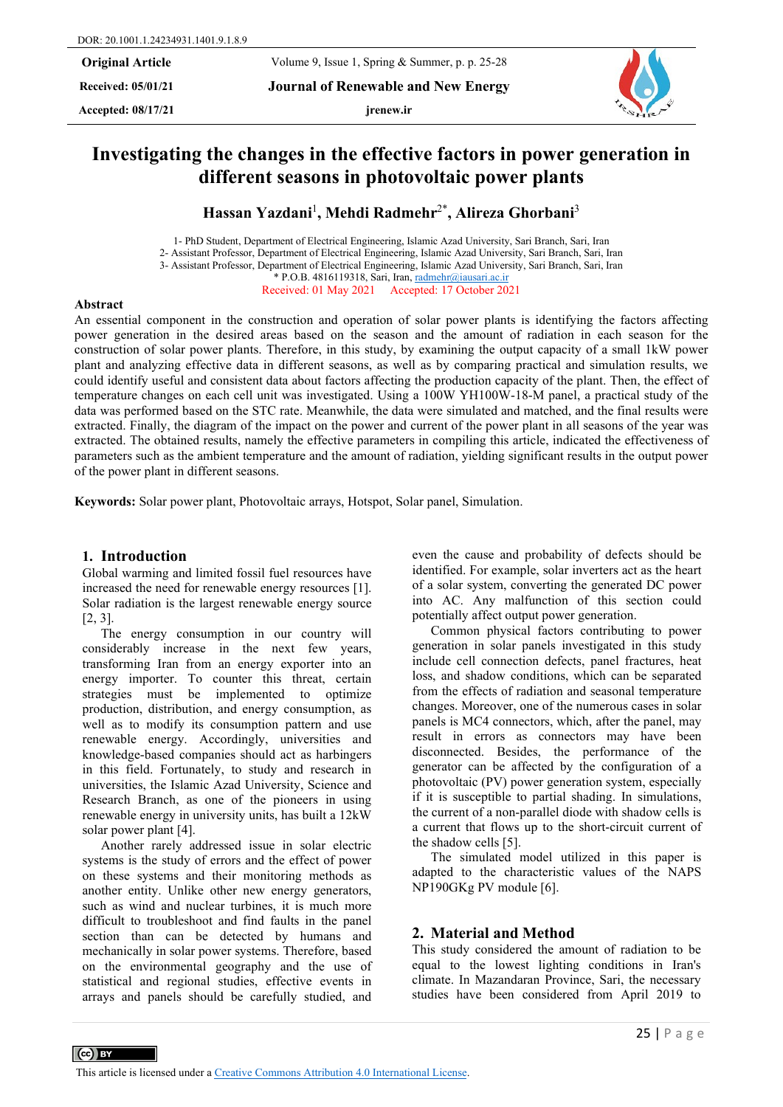Accepted:  $08/17/21$  **jrenew.ir** 

**Received: 05/01/21 Journal of Renewable and New Energy**



# **Investigating the changes in the effective factors in power generation in different seasons in photovoltaic power plants**

**Hassan Yazdani**<sup>1</sup> **, Mehdi Radmehr**2\***, Alireza Ghorbani**<sup>3</sup>

1- PhD Student, Department of Electrical Engineering, Islamic Azad University, Sari Branch, Sari, Iran 2- Assistant Professor, Department of Electrical Engineering, Islamic Azad University, Sari Branch, Sari, Iran 3- Assistant Professor, Department of Electrical Engineering, Islamic Azad University, Sari Branch, Sari, Iran

\* P.O.B. 4816119318, Sari, Iran[, radmehr@iausari.ac.ir](mailto:radmehr@iausari.ac.ir)

Received: 01 May 2021 Accepted: 17 October 2021

#### **Abstract**

An essential component in the construction and operation of solar power plants is identifying the factors affecting power generation in the desired areas based on the season and the amount of radiation in each season for the construction of solar power plants. Therefore, in this study, by examining the output capacity of a small 1kW power plant and analyzing effective data in different seasons, as well as by comparing practical and simulation results, we could identify useful and consistent data about factors affecting the production capacity of the plant. Then, the effect of temperature changes on each cell unit was investigated. Using a 100W YH100W-18-M panel, a practical study of the data was performed based on the STC rate. Meanwhile, the data were simulated and matched, and the final results were extracted. Finally, the diagram of the impact on the power and current of the power plant in all seasons of the year was extracted. The obtained results, namely the effective parameters in compiling this article, indicated the effectiveness of parameters such as the ambient temperature and the amount of radiation, yielding significant results in the output power of the power plant in different seasons.

**Keywords:** Solar power plant, Photovoltaic arrays, Hotspot, Solar panel, Simulation.

#### **1. Introduction**

Global warming and limited fossil fuel resources have increased the need for renewable energy resources [1]. Solar radiation is the largest renewable energy source [2, 3].

The energy consumption in our country will considerably increase in the next few years, transforming Iran from an energy exporter into an energy importer. To counter this threat, certain strategies must be implemented to optimize production, distribution, and energy consumption, as well as to modify its consumption pattern and use renewable energy. Accordingly, universities and knowledge-based companies should act as harbingers in this field. Fortunately, to study and research in universities, the Islamic Azad University, Science and Research Branch, as one of the pioneers in using renewable energy in university units, has built a 12kW solar power plant [4].

Another rarely addressed issue in solar electric systems is the study of errors and the effect of power on these systems and their monitoring methods as another entity. Unlike other new energy generators, such as wind and nuclear turbines, it is much more difficult to troubleshoot and find faults in the panel section than can be detected by humans and mechanically in solar power systems. Therefore, based on the environmental geography and the use of statistical and regional studies, effective events in arrays and panels should be carefully studied, and

even the cause and probability of defects should be identified. For example, solar inverters act as the heart of a solar system, converting the generated DC power into AC. Any malfunction of this section could potentially affect output power generation.

Common physical factors contributing to power generation in solar panels investigated in this study include cell connection defects, panel fractures, heat loss, and shadow conditions, which can be separated from the effects of radiation and seasonal temperature changes. Moreover, one of the numerous cases in solar panels is MC4 connectors, which, after the panel, may result in errors as connectors may have been disconnected. Besides, the performance of the generator can be affected by the configuration of a photovoltaic (PV) power generation system, especially if it is susceptible to partial shading. In simulations, the current of a non-parallel diode with shadow cells is a current that flows up to the short-circuit current of the shadow cells [5].

The simulated model utilized in this paper is adapted to the characteristic values of the NAPS NP190GKg PV module [6].

#### **2. Material and Method**

This study considered the amount of radiation to be equal to the lowest lighting conditions in Iran's climate. In Mazandaran Province, Sari, the necessary studies have been considered from April 2019 to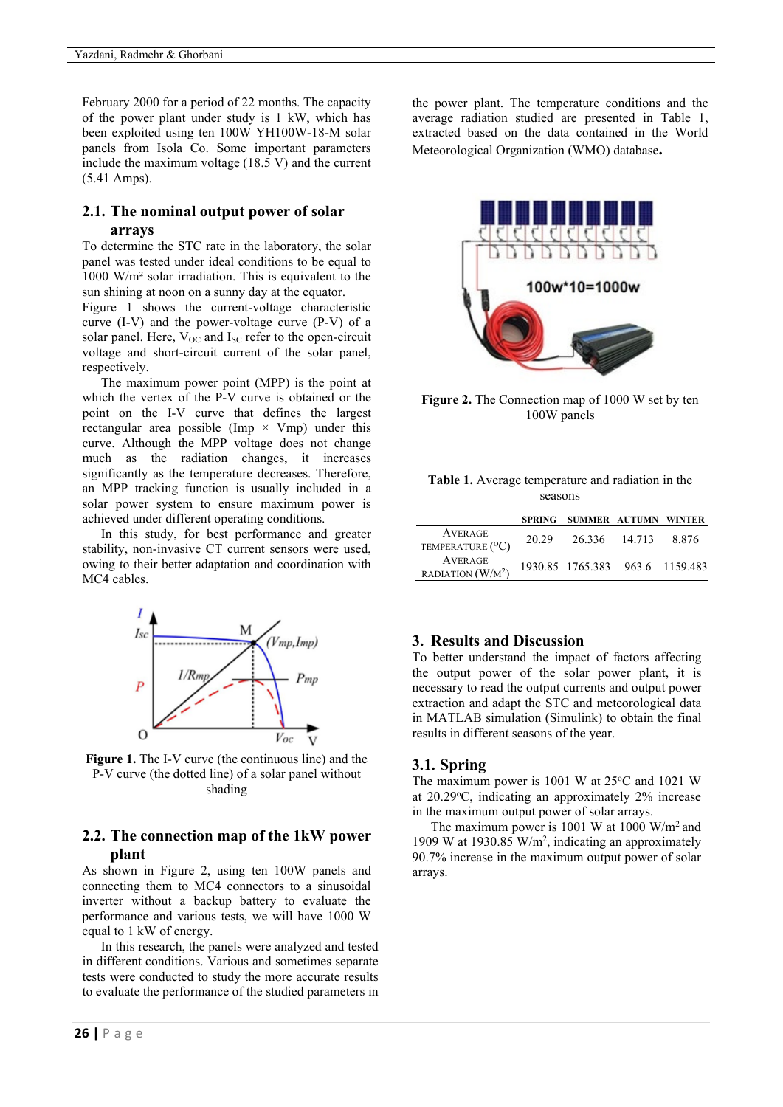February 2000 for a period of 22 months. The capacity of the power plant under study is 1 kW, which has been exploited using ten 100W YH100W-18-M solar panels from Isola Co. Some important parameters include the maximum voltage (18.5 V) and the current (5.41 Amps).

## **2.1. The nominal output power of solar arrays**

To determine the STC rate in the laboratory, the solar panel was tested under ideal conditions to be equal to 1000 W/m² solar irradiation. This is equivalent to the sun shining at noon on a sunny day at the equator.

Figure 1 shows the current-voltage characteristic curve (I-V) and the power-voltage curve (P-V) of a solar panel. Here,  $V_{OC}$  and  $I_{SC}$  refer to the open-circuit voltage and short-circuit current of the solar panel, respectively.

The maximum power point (MPP) is the point at which the vertex of the P-V curve is obtained or the point on the I-V curve that defines the largest rectangular area possible (Imp  $\times$  Vmp) under this curve. Although the MPP voltage does not change much as the radiation changes, it increases significantly as the temperature decreases. Therefore, an MPP tracking function is usually included in a solar power system to ensure maximum power is achieved under different operating conditions.

In this study, for best performance and greater stability, non-invasive CT current sensors were used, owing to their better adaptation and coordination with MC4 cables.



**Figure 1.** The I-V curve (the continuous line) and the P-V curve (the dotted line) of a solar panel without shading

## **2.2. The connection map of the 1kW power plant**

As shown in Figure 2, using ten 100W panels and connecting them to MC4 connectors to a sinusoidal inverter without a backup battery to evaluate the performance and various tests, we will have 1000 W equal to 1 kW of energy.

In this research, the panels were analyzed and tested in different conditions. Various and sometimes separate tests were conducted to study the more accurate results to evaluate the performance of the studied parameters in the power plant. The temperature conditions and the average radiation studied are presented in Table 1, extracted based on the data contained in the World Meteorological Organization (WMO) database**.** 



**Figure 2.** The Connection map of 1000 W set by ten 100W panels

| Table 1. Average temperature and radiation in the |  |
|---------------------------------------------------|--|
| seasons                                           |  |

|                                                 |       | SPRING SUMMER AUTUMN WINTER     |       |
|-------------------------------------------------|-------|---------------------------------|-------|
| <b>AVERAGE</b><br>TEMPERATURE ( <sup>O</sup> C) | 20.29 | 26.336 14.713                   | 8.876 |
| <b>AVERAGE</b><br>RADIATION $(W/M^2)$           |       | 1930.85 1765.383 963.6 1159.483 |       |

## **3. Results and Discussion**

To better understand the impact of factors affecting the output power of the solar power plant, it is necessary to read the output currents and output power extraction and adapt the STC and meteorological data in MATLAB simulation (Simulink) to obtain the final results in different seasons of the year.

#### **3.1. Spring**

The maximum power is  $1001$  W at  $25^{\circ}$ C and  $1021$  W at 20.29°C, indicating an approximately 2% increase in the maximum output power of solar arrays.

The maximum power is 1001 W at 1000 W/m2 and 1909 W at 1930.85 W/m2 , indicating an approximately 90.7% increase in the maximum output power of solar arrays.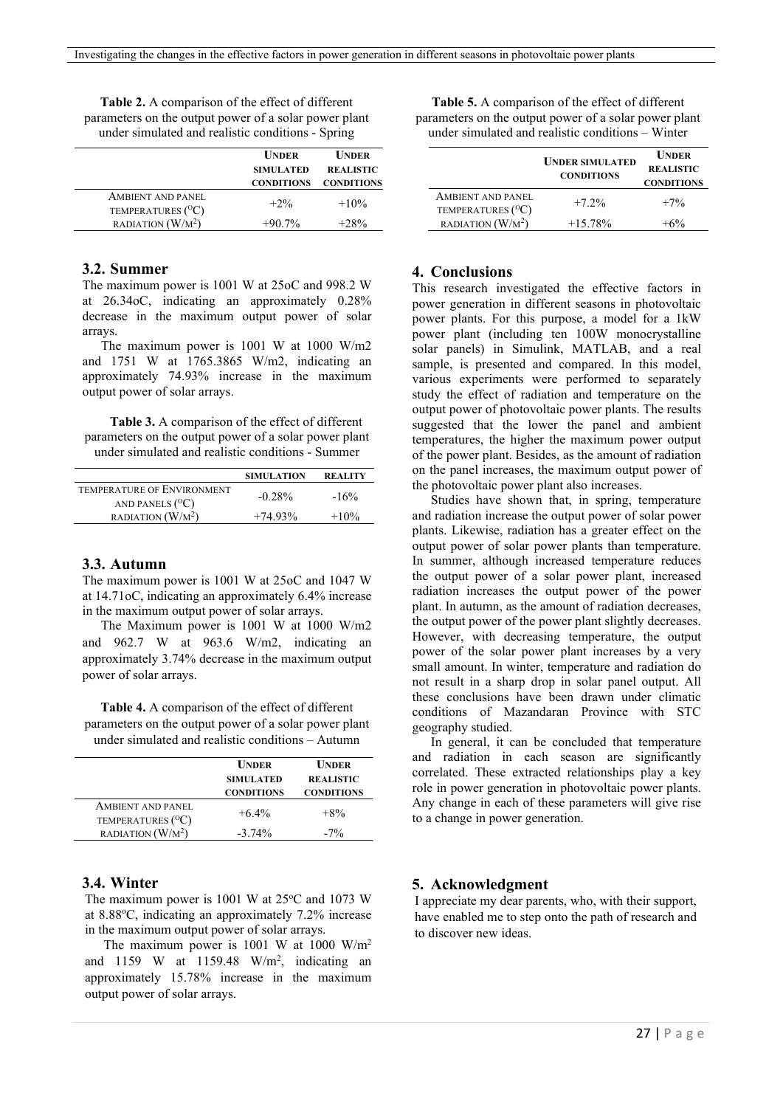| <b>Table 2.</b> A comparison of the effect of different |
|---------------------------------------------------------|
| parameters on the output power of a solar power plant   |
| under simulated and realistic conditions - Spring       |

|                                | <b>UNDER</b>      | <b>UNDER</b>      |  |
|--------------------------------|-------------------|-------------------|--|
|                                | <b>SIMULATED</b>  | <b>REALISTIC</b>  |  |
|                                | <b>CONDITIONS</b> | <b>CONDITIONS</b> |  |
| <b>AMBIENT AND PANEL</b>       | $+2\%$            | $+10\%$           |  |
| TEMPERATURES ( <sup>O</sup> C) |                   |                   |  |
| RADIATION (W/M <sup>2</sup> )  | $+90.7\%$         | $+28%$            |  |

## **3.2. Summer**

The maximum power is 1001 W at 25oC and 998.2 W at 26.34oC, indicating an approximately 0.28% decrease in the maximum output power of solar arrays.

The maximum power is 1001 W at 1000 W/m2 and 1751 W at 1765.3865 W/m2, indicating an approximately 74.93% increase in the maximum output power of solar arrays.

**Table 3.** A comparison of the effect of different parameters on the output power of a solar power plant under simulated and realistic conditions - Summer

|                                                        | <b>SIMULATION</b> | <b>REALITY</b> |
|--------------------------------------------------------|-------------------|----------------|
| TEMPERATURE OF ENVIRONMENT<br>AND PANELS $(^{\circ}C)$ | $-0.28\%$         | $-16\%$        |
| RADIATION $(W/M^2)$                                    | $+74.93\%$        | $+10%$         |
|                                                        |                   |                |

#### **3.3. Autumn**

The maximum power is 1001 W at 25oC and 1047 W at 14.71oC, indicating an approximately 6.4% increase in the maximum output power of solar arrays.

The Maximum power is 1001 W at 1000 W/m2 and 962.7 W at 963.6 W/m2, indicating an approximately 3.74% decrease in the maximum output power of solar arrays.

**Table 4.** A comparison of the effect of different parameters on the output power of a solar power plant under simulated and realistic conditions – Autumn

|                                                            | <b>UNDER</b><br><b>SIMULATED</b><br><b>CONDITIONS</b> | <b>UNDER</b><br><b>REALISTIC</b><br><b>CONDITIONS</b> |
|------------------------------------------------------------|-------------------------------------------------------|-------------------------------------------------------|
| <b>AMBIENT AND PANEL</b><br>TEMPERATURES ( <sup>O</sup> C) | $+6.4\%$                                              | $+8\%$                                                |
| RADIATION (W/M <sup>2</sup> )                              | $-3.74\%$                                             | $-7\%$                                                |

### **3.4. Winter**

The maximum power is 1001 W at  $25^{\circ}$ C and 1073 W at 8.88°C, indicating an approximately 7.2% increase in the maximum output power of solar arrays.

The maximum power is 1001 W at 1000  $W/m^2$ and  $1159$  W at  $1159.48$  W/m<sup>2</sup>, indicating an approximately 15.78% increase in the maximum output power of solar arrays.

| parameters on the output power of a solar power plant |  |
|-------------------------------------------------------|--|
| under simulated and realistic conditions – Winter     |  |
| <b>TI-ment</b>                                        |  |

**Table 5.** A comparison of the effect of different

|                          | <b>UNDER SIMULATED</b> | <b>UNDER</b>      |
|--------------------------|------------------------|-------------------|
|                          | <b>CONDITIONS</b>      | <b>REALISTIC</b>  |
|                          |                        | <b>CONDITIONS</b> |
| <b>AMBIENT AND PANEL</b> | $+7.2\%$               | $+7%$             |
| TEMPERATURES (°C)        |                        |                   |
| RADIATION $(W/M^2)$      | $+15.78\%$             |                   |

### **4. Conclusions**

This research investigated the effective factors in power generation in different seasons in photovoltaic power plants. For this purpose, a model for a 1kW power plant (including ten 100W monocrystalline solar panels) in Simulink, MATLAB, and a real sample, is presented and compared. In this model, various experiments were performed to separately study the effect of radiation and temperature on the output power of photovoltaic power plants. The results suggested that the lower the panel and ambient temperatures, the higher the maximum power output of the power plant. Besides, as the amount of radiation on the panel increases, the maximum output power of the photovoltaic power plant also increases.

Studies have shown that, in spring, temperature and radiation increase the output power of solar power plants. Likewise, radiation has a greater effect on the output power of solar power plants than temperature. In summer, although increased temperature reduces the output power of a solar power plant, increased radiation increases the output power of the power plant. In autumn, as the amount of radiation decreases, the output power of the power plant slightly decreases. However, with decreasing temperature, the output power of the solar power plant increases by a very small amount. In winter, temperature and radiation do not result in a sharp drop in solar panel output. All these conclusions have been drawn under climatic conditions of Mazandaran Province with STC geography studied.

In general, it can be concluded that temperature and radiation in each season are significantly correlated. These extracted relationships play a key role in power generation in photovoltaic power plants. Any change in each of these parameters will give rise to a change in power generation.

#### **5. Acknowledgment**

I appreciate my dear parents, who, with their support, have enabled me to step onto the path of research and to discover new ideas.